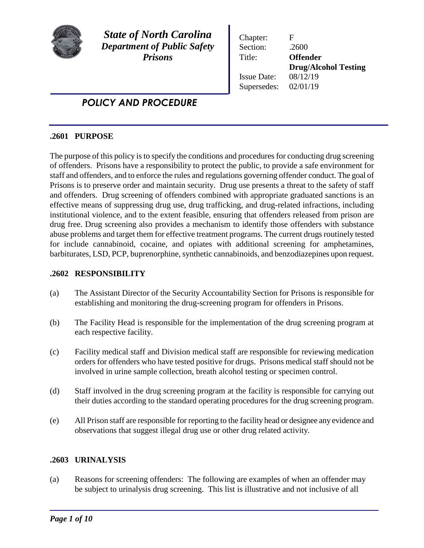

*State of North Carolina Department of Public Safety Prisons*

Chapter: F Section: .2600 Title: **Offender Drug/Alcohol Testing** Issue Date: 08/12/19 Supersedes: 02/01/19

# *POLICY AND PROCEDURE*

# **.2601 PURPOSE**

The purpose of this policy is to specify the conditions and procedures for conducting drug screening of offenders. Prisons have a responsibility to protect the public, to provide a safe environment for staff and offenders, and to enforce the rules and regulations governing offender conduct. The goal of Prisons is to preserve order and maintain security. Drug use presents a threat to the safety of staff and offenders. Drug screening of offenders combined with appropriate graduated sanctions is an effective means of suppressing drug use, drug trafficking, and drug-related infractions, including institutional violence, and to the extent feasible, ensuring that offenders released from prison are drug free. Drug screening also provides a mechanism to identify those offenders with substance abuse problems and target them for effective treatment programs. The current drugs routinely tested for include cannabinoid, cocaine, and opiates with additional screening for amphetamines, barbiturates, LSD, PCP, buprenorphine, synthetic cannabinoids, and benzodiazepines upon request.

# **.2602 RESPONSIBILITY**

- (a) The Assistant Director of the Security Accountability Section for Prisons is responsible for establishing and monitoring the drug-screening program for offenders in Prisons.
- (b) The Facility Head is responsible for the implementation of the drug screening program at each respective facility.
- (c) Facility medical staff and Division medical staff are responsible for reviewing medication orders for offenders who have tested positive for drugs. Prisons medical staff should not be involved in urine sample collection, breath alcohol testing or specimen control.
- (d) Staff involved in the drug screening program at the facility is responsible for carrying out their duties according to the standard operating procedures for the drug screening program.
- (e) All Prison staff are responsible for reporting to the facility head or designee any evidence and observations that suggest illegal drug use or other drug related activity.

# **.2603 URINALYSIS**

(a) Reasons for screening offenders: The following are examples of when an offender may be subject to urinalysis drug screening. This list is illustrative and not inclusive of all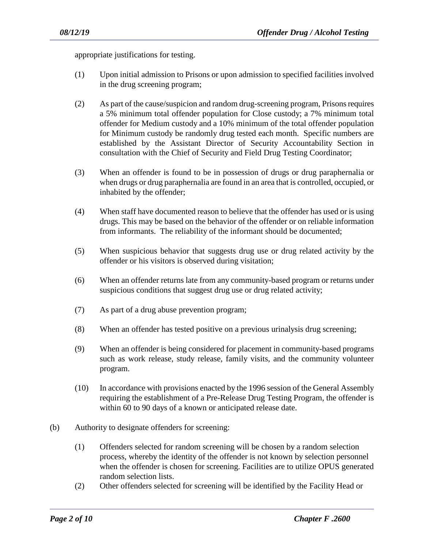appropriate justifications for testing.

- (1) Upon initial admission to Prisons or upon admission to specified facilities involved in the drug screening program;
- (2) As part of the cause/suspicion and random drug-screening program, Prisons requires a 5% minimum total offender population for Close custody; a 7% minimum total offender for Medium custody and a 10% minimum of the total offender population for Minimum custody be randomly drug tested each month. Specific numbers are established by the Assistant Director of Security Accountability Section in consultation with the Chief of Security and Field Drug Testing Coordinator;
- (3) When an offender is found to be in possession of drugs or drug paraphernalia or when drugs or drug paraphernalia are found in an area that is controlled, occupied, or inhabited by the offender;
- (4) When staff have documented reason to believe that the offender has used or is using drugs. This may be based on the behavior of the offender or on reliable information from informants. The reliability of the informant should be documented;
- (5) When suspicious behavior that suggests drug use or drug related activity by the offender or his visitors is observed during visitation;
- (6) When an offender returns late from any community-based program or returns under suspicious conditions that suggest drug use or drug related activity;
- (7) As part of a drug abuse prevention program;
- (8) When an offender has tested positive on a previous urinalysis drug screening;
- (9) When an offender is being considered for placement in community-based programs such as work release, study release, family visits, and the community volunteer program.
- (10) In accordance with provisions enacted by the 1996 session of the General Assembly requiring the establishment of a Pre-Release Drug Testing Program, the offender is within 60 to 90 days of a known or anticipated release date.
- (b) Authority to designate offenders for screening:
	- (1) Offenders selected for random screening will be chosen by a random selection process, whereby the identity of the offender is not known by selection personnel when the offender is chosen for screening. Facilities are to utilize OPUS generated random selection lists.
	- (2) Other offenders selected for screening will be identified by the Facility Head or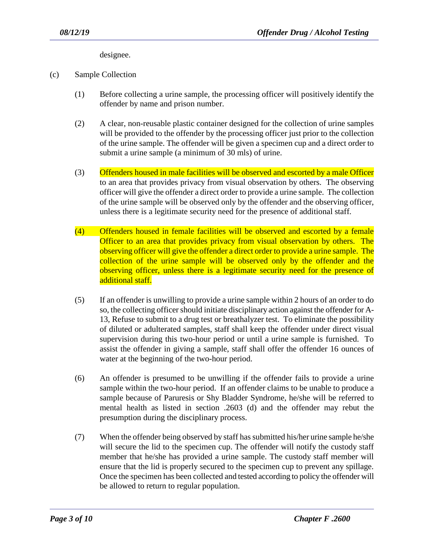designee.

- (c) Sample Collection
	- (1) Before collecting a urine sample, the processing officer will positively identify the offender by name and prison number.
	- (2) A clear, non-reusable plastic container designed for the collection of urine samples will be provided to the offender by the processing officer just prior to the collection of the urine sample. The offender will be given a specimen cup and a direct order to submit a urine sample (a minimum of 30 mls) of urine.
	- (3) Offenders housed in male facilities will be observed and escorted by a male Officer to an area that provides privacy from visual observation by others. The observing officer will give the offender a direct order to provide a urine sample. The collection of the urine sample will be observed only by the offender and the observing officer, unless there is a legitimate security need for the presence of additional staff.
	- (4) Offenders housed in female facilities will be observed and escorted by a female Officer to an area that provides privacy from visual observation by others. The observing officer will give the offender a direct order to provide a urine sample. The collection of the urine sample will be observed only by the offender and the observing officer, unless there is a legitimate security need for the presence of additional staff.
	- (5) If an offender is unwilling to provide a urine sample within 2 hours of an order to do so, the collecting officer should initiate disciplinary action against the offender for A-13, Refuse to submit to a drug test or breathalyzer test. To eliminate the possibility of diluted or adulterated samples, staff shall keep the offender under direct visual supervision during this two-hour period or until a urine sample is furnished. To assist the offender in giving a sample, staff shall offer the offender 16 ounces of water at the beginning of the two-hour period.
	- (6) An offender is presumed to be unwilling if the offender fails to provide a urine sample within the two-hour period. If an offender claims to be unable to produce a sample because of Paruresis or Shy Bladder Syndrome, he/she will be referred to mental health as listed in section .2603 (d) and the offender may rebut the presumption during the disciplinary process.
	- (7) When the offender being observed by staff hassubmitted his/her urine sample he/she will secure the lid to the specimen cup. The offender will notify the custody staff member that he/she has provided a urine sample. The custody staff member will ensure that the lid is properly secured to the specimen cup to prevent any spillage. Once the specimen has been collected and tested according to policy the offender will be allowed to return to regular population.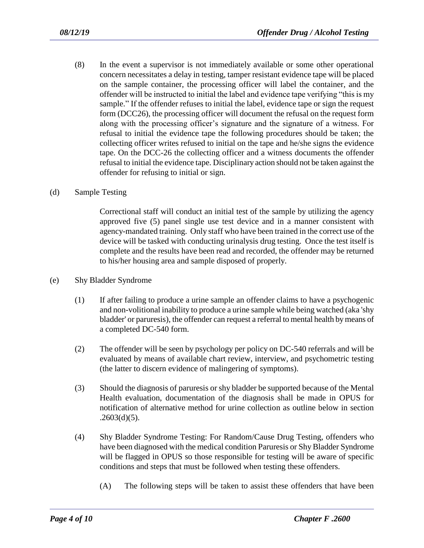(8) In the event a supervisor is not immediately available or some other operational concern necessitates a delay in testing, tamper resistant evidence tape will be placed on the sample container, the processing officer will label the container, and the offender will be instructed to initial the label and evidence tape verifying "this is my sample." If the offender refuses to initial the label, evidence tape or sign the request form (DCC26), the processing officer will document the refusal on the request form along with the processing officer's signature and the signature of a witness. For refusal to initial the evidence tape the following procedures should be taken; the collecting officer writes refused to initial on the tape and he/she signs the evidence tape. On the DCC-26 the collecting officer and a witness documents the offender refusal to initial the evidence tape. Disciplinary action should not be taken against the offender for refusing to initial or sign.

#### (d) Sample Testing

Correctional staff will conduct an initial test of the sample by utilizing the agency approved five (5) panel single use test device and in a manner consistent with agency-mandated training. Only staff who have been trained in the correct use of the device will be tasked with conducting urinalysis drug testing. Once the test itself is complete and the results have been read and recorded, the offender may be returned to his/her housing area and sample disposed of properly.

- (e) Shy Bladder Syndrome
	- (1) If after failing to produce a urine sample an offender claims to have a psychogenic and non-volitional inability to produce a urine sample while being watched (aka 'shy bladder' or paruresis), the offender can request a referral to mental health by means of a completed DC-540 form.
	- (2) The offender will be seen by psychology per policy on DC-540 referrals and will be evaluated by means of available chart review, interview, and psychometric testing (the latter to discern evidence of malingering of symptoms).
	- (3) Should the diagnosis of paruresis or shy bladder be supported because of the Mental Health evaluation, documentation of the diagnosis shall be made in OPUS for notification of alternative method for urine collection as outline below in section  $.2603(d)(5)$ .
	- (4) Shy Bladder Syndrome Testing: For Random/Cause Drug Testing, offenders who have been diagnosed with the medical condition Paruresis or Shy Bladder Syndrome will be flagged in OPUS so those responsible for testing will be aware of specific conditions and steps that must be followed when testing these offenders.
		- (A) The following steps will be taken to assist these offenders that have been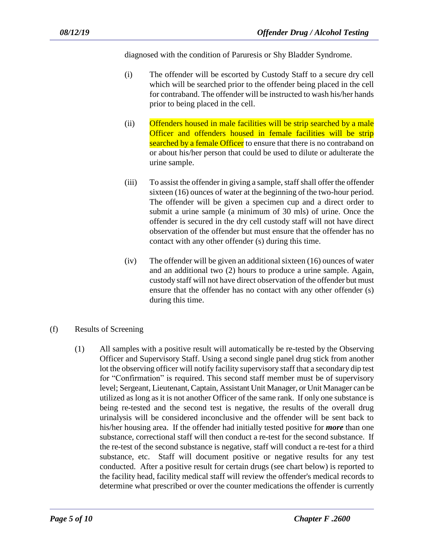diagnosed with the condition of Paruresis or Shy Bladder Syndrome.

- (i) The offender will be escorted by Custody Staff to a secure dry cell which will be searched prior to the offender being placed in the cell for contraband. The offender will be instructed to wash his/her hands prior to being placed in the cell.
- (ii) Offenders housed in male facilities will be strip searched by a male Officer and offenders housed in female facilities will be strip searched by a female Officer to ensure that there is no contraband on or about his/her person that could be used to dilute or adulterate the urine sample.
- (iii) To assist the offender in giving a sample, staff shall offer the offender sixteen (16) ounces of water at the beginning of the two-hour period. The offender will be given a specimen cup and a direct order to submit a urine sample (a minimum of 30 mls) of urine. Once the offender is secured in the dry cell custody staff will not have direct observation of the offender but must ensure that the offender has no contact with any other offender (s) during this time.
- (iv) The offender will be given an additional sixteen (16) ounces of water and an additional two (2) hours to produce a urine sample. Again, custody staff will not have direct observation of the offender but must ensure that the offender has no contact with any other offender (s) during this time.
- (f) Results of Screening
	- (1) All samples with a positive result will automatically be re-tested by the Observing Officer and Supervisory Staff. Using a second single panel drug stick from another lot the observing officer will notify facility supervisory staff that a secondary dip test for "Confirmation" is required. This second staff member must be of supervisory level; Sergeant, Lieutenant, Captain, Assistant Unit Manager, or Unit Manager can be utilized as long as it is not another Officer of the same rank. If only one substance is being re-tested and the second test is negative, the results of the overall drug urinalysis will be considered inconclusive and the offender will be sent back to his/her housing area. If the offender had initially tested positive for *more* than one substance, correctional staff will then conduct a re-test for the second substance. If the re-test of the second substance is negative, staff will conduct a re-test for a third substance, etc. Staff will document positive or negative results for any test conducted. After a positive result for certain drugs (see chart below) is reported to the facility head, facility medical staff will review the offender's medical records to determine what prescribed or over the counter medications the offender is currently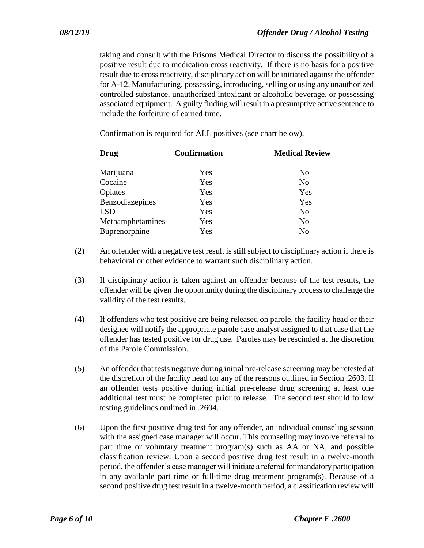taking and consult with the Prisons Medical Director to discuss the possibility of a positive result due to medication cross reactivity. If there is no basis for a positive result due to cross reactivity, disciplinary action will be initiated against the offender for A-12, Manufacturing, possessing, introducing, selling or using any unauthorized controlled substance, unauthorized intoxicant or alcoholic beverage, or possessing associated equipment. A guilty finding will result in a presumptive active sentence to include the forfeiture of earned time.

Confirmation is required for ALL positives (see chart below).

| Drug             | <b>Confirmation</b> | <b>Medical Review</b> |
|------------------|---------------------|-----------------------|
| Marijuana        | Yes                 | No                    |
| Cocaine          | Yes                 | N <sub>o</sub>        |
| Opiates          | Yes                 | Yes                   |
| Benzodiazepines  | Yes                 | Yes                   |
| <b>LSD</b>       | Yes                 | No                    |
| Methamphetamines | Yes                 | No                    |
| Buprenorphine    | Yes                 | No                    |

- (2) An offender with a negative test result is still subject to disciplinary action if there is behavioral or other evidence to warrant such disciplinary action.
- (3) If disciplinary action is taken against an offender because of the test results, the offender will be given the opportunity during the disciplinary processto challenge the validity of the test results.
- (4) If offenders who test positive are being released on parole, the facility head or their designee will notify the appropriate parole case analyst assigned to that case that the offender has tested positive for drug use. Paroles may be rescinded at the discretion of the Parole Commission.
- (5) An offender that tests negative during initial pre-release screening may be retested at the discretion of the facility head for any of the reasons outlined in Section .2603. If an offender tests positive during initial pre-release drug screening at least one additional test must be completed prior to release. The second test should follow testing guidelines outlined in .2604.
- (6) Upon the first positive drug test for any offender, an individual counseling session with the assigned case manager will occur. This counseling may involve referral to part time or voluntary treatment program(s) such as AA or NA, and possible classification review. Upon a second positive drug test result in a twelve-month period, the offender's case manager will initiate a referral for mandatory participation in any available part time or full-time drug treatment program(s). Because of a second positive drug test result in a twelve-month period, a classification review will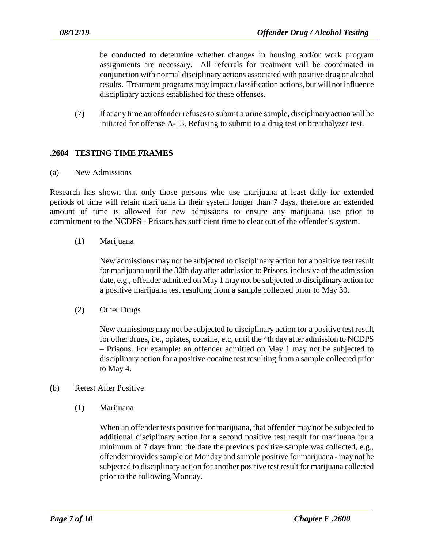be conducted to determine whether changes in housing and/or work program assignments are necessary. All referrals for treatment will be coordinated in conjunction with normal disciplinary actions associated with positive drug or alcohol results. Treatment programs may impact classification actions, but will not influence disciplinary actions established for these offenses.

(7) If at any time an offender refuses to submit a urine sample, disciplinary action will be initiated for offense A-13, Refusing to submit to a drug test or breathalyzer test.

# **.2604 TESTING TIME FRAMES**

(a) New Admissions

Research has shown that only those persons who use marijuana at least daily for extended periods of time will retain marijuana in their system longer than 7 days, therefore an extended amount of time is allowed for new admissions to ensure any marijuana use prior to commitment to the NCDPS - Prisons has sufficient time to clear out of the offender's system.

#### (1) Marijuana

New admissions may not be subjected to disciplinary action for a positive test result for marijuana until the 30th day after admission to Prisons, inclusive of the admission date, e.g., offender admitted on May 1 may not be subjected to disciplinary action for a positive marijuana test resulting from a sample collected prior to May 30.

(2) Other Drugs

New admissions may not be subjected to disciplinary action for a positive test result for other drugs, i.e., opiates, cocaine, etc, until the 4th day after admission to NCDPS – Prisons. For example: an offender admitted on May 1 may not be subjected to disciplinary action for a positive cocaine test resulting from a sample collected prior to May 4.

#### (b) Retest After Positive

(1) Marijuana

When an offender tests positive for marijuana, that offender may not be subjected to additional disciplinary action for a second positive test result for marijuana for a minimum of 7 days from the date the previous positive sample was collected, e.g., offender provides sample on Monday and sample positive for marijuana - may not be subjected to disciplinary action for another positive test result for marijuana collected prior to the following Monday.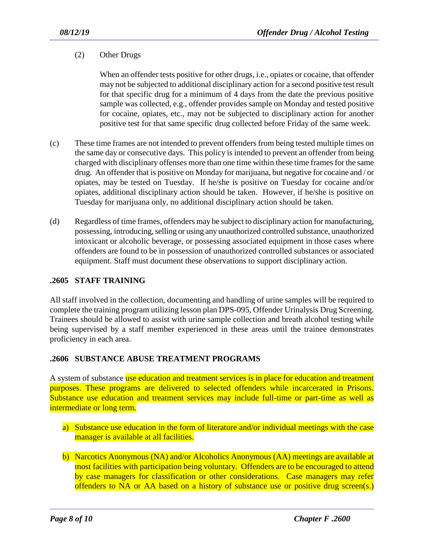# (2) Other Drugs

When an offender tests positive for other drugs, i.e., opiates or cocaine, that offender may not be subjected to additional disciplinary action for a second positive test result for that specific drug for a minimum of 4 days from the date the previous positive sample was collected, e.g., offender provides sample on Monday and tested positive for cocaine, opiates, etc., may not be subjected to disciplinary action for another positive test for that same specific drug collected before Friday of the same week.

- (c) These time frames are not intended to prevent offenders from being tested multiple times on the same day or consecutive days. This policy is intended to prevent an offender from being charged with disciplinary offenses more than one time within these time frames for the same drug. An offender that is positive on Monday for marijuana, but negative for cocaine and / or opiates, may be tested on Tuesday. If he/she is positive on Tuesday for cocaine and/or opiates, additional disciplinary action should be taken. However, if he/she is positive on Tuesday for marijuana only, no additional disciplinary action should be taken.
- (d) Regardless of time frames, offenders may be subject to disciplinary action for manufacturing, possessing, introducing, selling or using any unauthorized controlled substance, unauthorized intoxicant or alcoholic beverage, or possessing associated equipment in those cases where offenders are found to be in possession of unauthorized controlled substances or associated equipment. Staff must document these observations to support disciplinary action.

# **.2605 STAFF TRAINING**

All staff involved in the collection, documenting and handling of urine samples will be required to complete the training program utilizing lesson plan DPS-095, Offender Urinalysis Drug Screening. Trainees should be allowed to assist with urine sample collection and breath alcohol testing while being supervised by a staff member experienced in these areas until the trainee demonstrates proficiency in each area.

# **.2606 SUBSTANCE ABUSE TREATMENT PROGRAMS**

A system of substance use education and treatment services is in place for education and treatment purposes. These programs are delivered to selected offenders while incarcerated in Prisons. Substance use education and treatment services may include full-time or part-time as well as intermediate or long term.

- a) Substance use education in the form of literature and/or individual meetings with the case manager is available at all facilities.
- b) Narcotics Anonymous (NA) and/or Alcoholics Anonymous (AA) meetings are available at most facilities with participation being voluntary. Offenders are to be encouraged to attend by case managers for classification or other considerations. Case managers may refer offenders to NA or AA based on a history of substance use or positive drug screen(s.)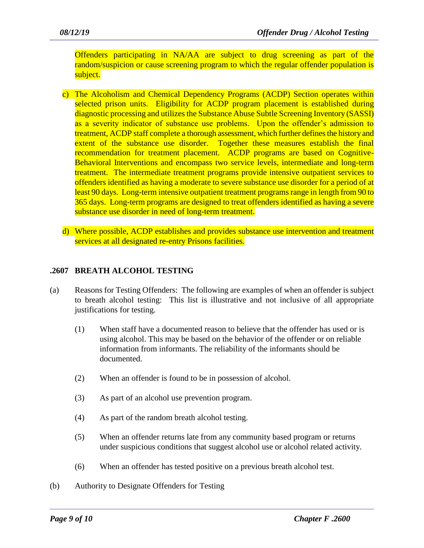Offenders participating in NA/AA are subject to drug screening as part of the random/suspicion or cause screening program to which the regular offender population is subject.

- c) The Alcoholism and Chemical Dependency Programs (ACDP) Section operates within selected prison units. Eligibility for ACDP program placement is established during diagnostic processing and utilizes the Substance Abuse Subtle Screening Inventory (SASSI) as a severity indicator of substance use problems. Upon the offender's admission to treatment, ACDP staff complete a thorough assessment, which further defines the history and extent of the substance use disorder. Together these measures establish the final recommendation for treatment placement. ACDP programs are based on Cognitive-Behavioral Interventions and encompass two service levels, intermediate and long-term treatment. The intermediate treatment programs provide intensive outpatient services to offenders identified as having a moderate to severe substance use disorder for a period of at least 90 days. Long-term intensive outpatient treatment programs range in length from 90 to 365 days. Long-term programs are designed to treat offenders identified as having a severe substance use disorder in need of long-term treatment.
- d) Where possible, ACDP establishes and provides substance use intervention and treatment services at all designated re-entry Prisons facilities.

# **.2607 BREATH ALCOHOL TESTING**

- (a) Reasons for Testing Offenders: The following are examples of when an offender is subject to breath alcohol testing: This list is illustrative and not inclusive of all appropriate justifications for testing.
	- (1) When staff have a documented reason to believe that the offender has used or is using alcohol. This may be based on the behavior of the offender or on reliable information from informants. The reliability of the informants should be documented.
	- (2) When an offender is found to be in possession of alcohol.
	- (3) As part of an alcohol use prevention program.
	- (4) As part of the random breath alcohol testing.
	- (5) When an offender returns late from any community based program or returns under suspicious conditions that suggest alcohol use or alcohol related activity.
	- (6) When an offender has tested positive on a previous breath alcohol test.
- (b) Authority to Designate Offenders for Testing